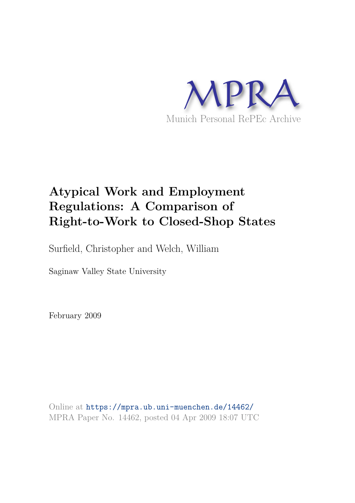

# **Atypical Work and Employment Regulations: A Comparison of Right-to-Work to Closed-Shop States**

Surfield, Christopher and Welch, William

Saginaw Valley State University

February 2009

Online at https://mpra.ub.uni-muenchen.de/14462/ MPRA Paper No. 14462, posted 04 Apr 2009 18:07 UTC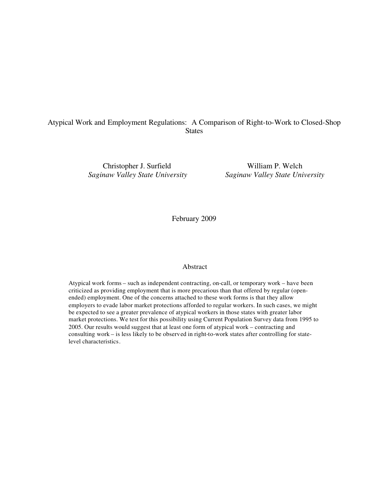### Atypical Work and Employment Regulations: A Comparison of Right-to-Work to Closed-Shop **States**

Christopher J. Surfield William P. Welch *Saginaw Valley State University Saginaw Valley State University*

February 2009

#### Abstract

Atypical work forms – such as independent contracting, on-call, or temporary work – have been criticized as providing employment that is more precarious than that offered by regular (openended) employment. One of the concerns attached to these work forms is that they allow employers to evade labor market protections afforded to regular workers. In such cases, we might be expected to see a greater prevalence of atypical workers in those states with greater labor market protections. We test for this possibility using Current Population Survey data from 1995 to 2005. Our results would suggest that at least one form of atypical work – contracting and consulting work – is less likely to be observed in right-to-work states after controlling for statelevel characteristics.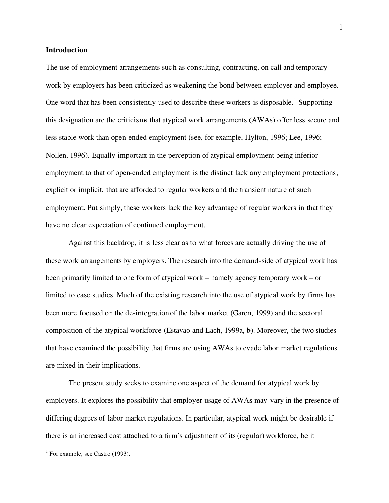#### **Introduction**

The use of employment arrangements such as consulting, contracting, on-call and temporary work by employers has been criticized as weakening the bond between employer and employee. One word that has been consistently used to describe these workers is disposable.<sup>1</sup> Supporting this designation are the criticisms that atypical work arrangements (AWAs) offer less secure and less stable work than open-ended employment (see, for example, Hylton, 1996; Lee, 1996; Nollen, 1996). Equally important in the perception of atypical employment being inferior employment to that of open-ended employment is the distinct lack any employment protections, explicit or implicit, that are afforded to regular workers and the transient nature of such employment. Put simply, these workers lack the key advantage of regular workers in that they have no clear expectation of continued employment.

Against this backdrop, it is less clear as to what forces are actually driving the use of these work arrangements by employers. The research into the demand-side of atypical work has been primarily limited to one form of atypical work – namely agency temporary work – or limited to case studies. Much of the existing research into the use of atypical work by firms has been more focused on the de-integration of the labor market (Garen, 1999) and the sectoral composition of the atypical workforce (Estavao and Lach, 1999a, b). Moreover, the two studies that have examined the possibility that firms are using AWAs to evade labor market regulations are mixed in their implications.

The present study seeks to examine one aspect of the demand for atypical work by employers. It explores the possibility that employer usage of AWAs may vary in the presence of differing degrees of labor market regulations. In particular, atypical work might be desirable if there is an increased cost attached to a firm's adjustment of its(regular) workforce, be it

<sup>&</sup>lt;sup>1</sup> For example, see Castro (1993).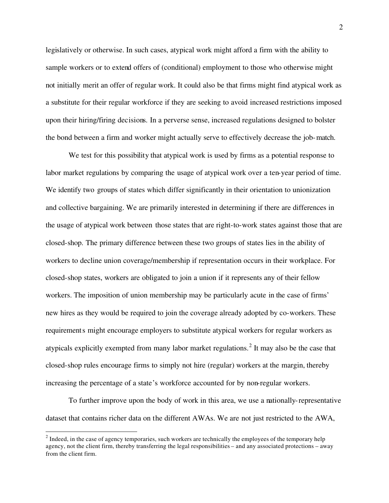legislatively or otherwise. In such cases, atypical work might afford a firm with the ability to sample workers or to extend offers of (conditional) employment to those who otherwise might not initially merit an offer of regular work. It could also be that firms might find atypical work as a substitute for their regular workforce if they are seeking to avoid increased restrictions imposed upon their hiring/firing decisions. In a perverse sense, increased regulations designed to bolster the bond between a firm and worker might actually serve to effectively decrease the job-match.

We test for this possibility that atypical work is used by firms as a potential response to labor market regulations by comparing the usage of atypical work over a ten-year period of time. We identify two groups of states which differ significantly in their orientation to unionization and collective bargaining. We are primarily interested in determining if there are differences in the usage of atypical work between those states that are right-to-work states against those that are closed-shop. The primary difference between these two groups of states lies in the ability of workers to decline union coverage/membership if representation occurs in their workplace. For closed-shop states, workers are obligated to join a union if it represents any of their fellow workers. The imposition of union membership may be particularly acute in the case of firms' new hires as they would be required to join the coverage already adopted by co-workers. These requirements might encourage employers to substitute atypical workers for regular workers as atypicals explicitly exempted from many labor market regulations.<sup>2</sup> It may also be the case that closed-shop rules encourage firms to simply not hire (regular) workers at the margin, thereby increasing the percentage of a state's workforce accounted for by non-regular workers.

To further improve upon the body of work in this area, we use a nationally-representative dataset that contains richer data on the different AWAs. We are not just restricted to the AWA,

 $2$  Indeed, in the case of agency temporaries, such workers are technically the employees of the temporary help agency, not the client firm, thereby transferring the legal responsibilities – and any associated protections – away from the client firm.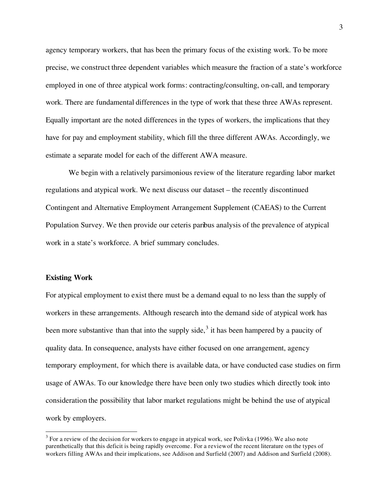agency temporary workers, that has been the primary focus of the existing work. To be more precise, we construct three dependent variables which measure the fraction of a state's workforce employed in one of three atypical work forms: contracting/consulting, on-call, and temporary work. There are fundamental differences in the type of work that these three AWAs represent. Equally important are the noted differences in the types of workers, the implications that they have for pay and employment stability, which fill the three different AWAs. Accordingly, we estimate a separate model for each of the different AWA measure.

We begin with a relatively parsimonious review of the literature regarding labor market regulations and atypical work. We next discuss our dataset – the recently discontinued Contingent and Alternative Employment Arrangement Supplement (CAEAS) to the Current Population Survey. We then provide our ceteris paribus analysis of the prevalence of atypical work in a state's workforce. A brief summary concludes.

#### **Existing Work**

 $\overline{a}$ 

For atypical employment to exist there must be a demand equal to no less than the supply of workers in these arrangements. Although research into the demand side of atypical work has been more substantive than that into the supply side,<sup>3</sup> it has been hampered by a paucity of quality data. In consequence, analysts have either focused on one arrangement, agency temporary employment, for which there is available data, or have conducted case studies on firm usage of AWAs. To our knowledge there have been only two studies which directly took into consideration the possibility that labor market regulations might be behind the use of atypical work by employers.

 $3$  For a review of the decision for workers to engage in atypical work, see Polivka (1996). We also note parenthetically that this deficit is being rapidly overcome. For a reviewof the recent literature on the types of workers filling AWAs and their implications, see Addison and Surfield (2007) and Addison and Surfield (2008).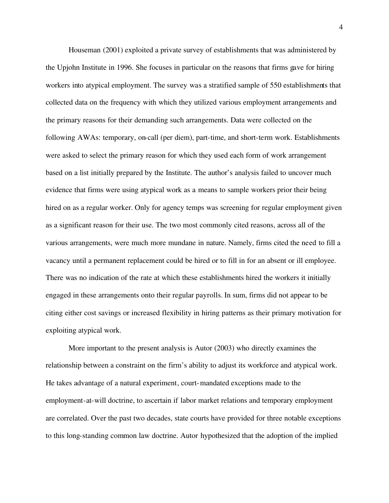Houseman (2001) exploited a private survey of establishments that was administered by the Upjohn Institute in 1996. She focuses in particular on the reasons that firms gave for hiring workers into atypical employment. The survey was a stratified sample of 550 establishments that collected data on the frequency with which they utilized various employment arrangements and the primary reasons for their demanding such arrangements. Data were collected on the following AWAs: temporary, on-call (per diem), part-time, and short-term work. Establishments were asked to select the primary reason for which they used each form of work arrangement based on a list initially prepared by the Institute. The author's analysis failed to uncover much evidence that firms were using atypical work as a means to sample workers prior their being hired on as a regular worker. Only for agency temps was screening for regular employment given as a significant reason for their use. The two most commonly cited reasons, across all of the various arrangements, were much more mundane in nature. Namely, firms cited the need to fill a vacancy until a permanent replacement could be hired or to fill in for an absent or ill employee. There was no indication of the rate at which these establishments hired the workers it initially engaged in these arrangements onto their regular payrolls. In sum, firms did not appear to be citing either cost savings or increased flexibility in hiring patterns as their primary motivation for exploiting atypical work.

More important to the present analysis is Autor (2003) who directly examines the relationship between a constraint on the firm's ability to adjust its workforce and atypical work. He takes advantage of a natural experiment, court-mandated exceptions made to the employment-at-will doctrine, to ascertain if labor market relations and temporary employment are correlated. Over the past two decades, state courts have provided for three notable exceptions to this long-standing common law doctrine. Autor hypothesized that the adoption of the implied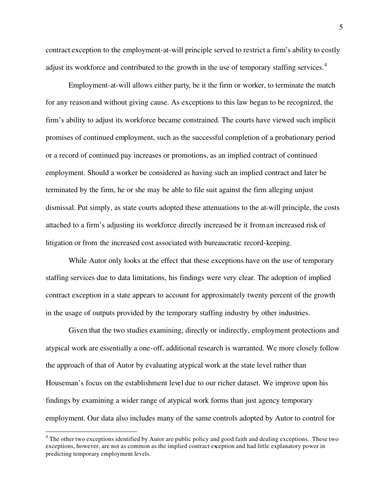contract exception to the employment-at-will principle served to restrict a firm's ability to costly adjust its workforce and contributed to the growth in the use of temporary staffing services.<sup>4</sup>

Employment-at-will allows either party, be it the firm or worker, to terminate the match for any reason and without giving cause. As exceptions to this law began to be recognized, the firm's ability to adjust its workforce became constrained. The courts have viewed such implicit promises of continued employment, such as the successful completion of a probationary period or a record of continued pay increases or promotions, as an implied contract of continued employment. Should a worker be considered as having such an implied contract and later be terminated by the firm, he or she may be able to file suit against the firm alleging unjust dismissal. Put simply, as state courts adopted these attenuations to the at-will principle, the costs attached to a firm's adjusting its workforce directly increased be it froman increased risk of litigation or from the increased cost associated with bureaucratic record-keeping.

While Autor only looks at the effect that these exceptions have on the use of temporary staffing services due to data limitations, his findings were very clear. The adoption of implied contract exception in a state appears to account for approximately twenty percent of the growth in the usage of outputs provided by the temporary staffing industry by other industries.

Given that the two studies examining, directly or indirectly, employment protections and atypical work are essentially a one-off, additional research is warranted. We more closely follow the approach of that of Autor by evaluating atypical work at the state level rather than Houseman's focus on the establishment level due to our richer dataset. We improve upon his findings by examining a wider range of atypical work forms than just agency temporary employment. Our data also includes many of the same controls adopted by Autor to control for

<sup>&</sup>lt;sup>4</sup> The other two exceptions identified by Autor are public policy and good faith and dealing exceptions. These two exceptions, however, are not as common as the implied contract exception and had little explanatory power in predicting temporary employment levels.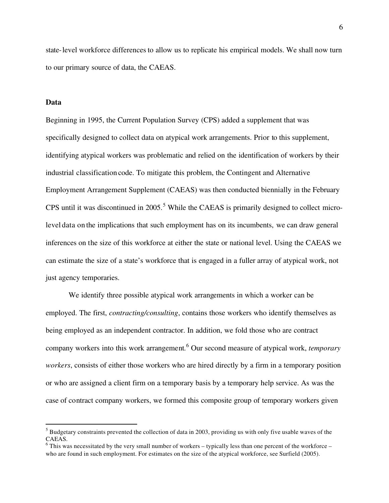state-level workforce differencesto allow us to replicate his empirical models. We shall now turn to our primary source of data, the CAEAS.

#### **Data**

 $\overline{a}$ 

Beginning in 1995, the Current Population Survey (CPS) added a supplement that was specifically designed to collect data on atypical work arrangements. Prior to this supplement, identifying atypical workers was problematic and relied on the identification of workers by their industrial classification code. To mitigate this problem, the Contingent and Alternative Employment Arrangement Supplement (CAEAS) was then conducted biennially in the February CPS until it was discontinued in  $2005$ .<sup>5</sup> While the CAEAS is primarily designed to collect microlevel data on the implications that such employment has on its incumbents, we can draw general inferences on the size of this workforce at either the state or national level. Using the CAEAS we can estimate the size of a state's workforce that is engaged in a fuller array of atypical work, not just agency temporaries.

We identify three possible atypical work arrangements in which a worker can be employed. The first, *contracting/consulting*, contains those workers who identify themselves as being employed as an independent contractor. In addition, we fold those who are contract company workers into this work arrangement.<sup>6</sup> Our second measure of atypical work, *temporary workers*, consists of either those workers who are hired directly by a firm in a temporary position or who are assigned a client firm on a temporary basis by a temporary help service. As was the case of contract company workers, we formed this composite group of temporary workers given

<sup>&</sup>lt;sup>5</sup> Budgetary constraints prevented the collection of data in 2003, providing us with only five usable waves of the CAEAS.

 $6$  This was necessitated by the very small number of workers – typically less than one percent of the workforce – who are found in such employment. For estimates on the size of the atypical workforce, see Surfield (2005).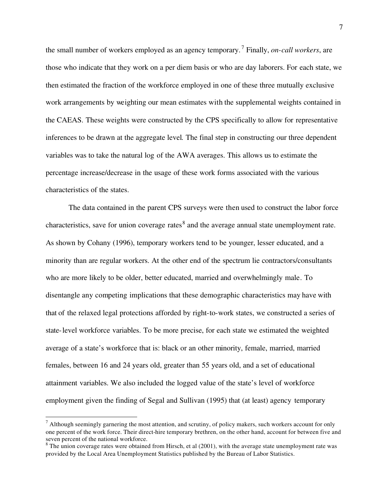the small number of workers employed as an agency temporary. <sup>7</sup> Finally, *on-call workers*, are those who indicate that they work on a per diem basis or who are day laborers. For each state, we then estimated the fraction of the workforce employed in one of these three mutually exclusive work arrangements by weighting our mean estimates with the supplemental weights contained in the CAEAS. These weights were constructed by the CPS specifically to allow for representative inferences to be drawn at the aggregate level. The final step in constructing our three dependent variables was to take the natural log of the AWA averages. This allows us to estimate the percentage increase/decrease in the usage of these work forms associated with the various characteristics of the states.

The data contained in the parent CPS surveys were then used to construct the labor force characteristics, save for union coverage rates<sup>8</sup> and the average annual state unemployment rate. As shown by Cohany (1996), temporary workers tend to be younger, lesser educated, and a minority than are regular workers. At the other end of the spectrum lie contractors/consultants who are more likely to be older, better educated, married and overwhelmingly male. To disentangle any competing implications that these demographic characteristics may have with that of the relaxed legal protections afforded by right-to-work states, we constructed a series of state-level workforce variables. To be more precise, for each state we estimated the weighted average of a state's workforce that is: black or an other minority, female, married, married females, between 16 and 24 years old, greater than 55 years old, and a set of educational attainment variables. We also included the logged value of the state's level of workforce employment given the finding of Segal and Sullivan (1995) that (at least) agency temporary

 $<sup>7</sup>$  Although seemingly garnering the most attention, and scrutiny, of policy makers, such workers account for only</sup> one percent of the work force. Their direct-hire temporary brethren, on the other hand, account for between five and seven percent of the national workforce.

 $8$  The union coverage rates were obtained from Hirsch, et al (2001), with the average state unemployment rate was provided by the Local Area Unemployment Statistics published by the Bureau of Labor Statistics.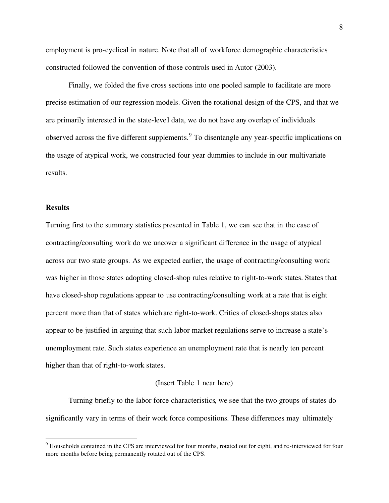employment is pro-cyclical in nature. Note that all of workforce demographic characteristics constructed followed the convention of those controls used in Autor (2003).

Finally, we folded the five cross sections into one pooled sample to facilitate are more precise estimation of our regression models. Given the rotational design of the CPS, and that we are primarily interested in the state-level data, we do not have any overlap of individuals observed across the five different supplements. <sup>9</sup> To disentangle any year-specific implications on the usage of atypical work, we constructed four year dummies to include in our multivariate results.

#### **Results**

 $\overline{a}$ 

Turning first to the summary statistics presented in Table 1, we can see that in the case of contracting/consulting work do we uncover a significant difference in the usage of atypical across our two state groups. As we expected earlier, the usage of contracting/consulting work was higher in those states adopting closed-shop rules relative to right-to-work states. States that have closed-shop regulations appear to use contracting/consulting work at a rate that is eight percent more than that of states which are right-to-work. Critics of closed-shops states also appear to be justified in arguing that such labor market regulations serve to increase a state's unemployment rate. Such states experience an unemployment rate that is nearly ten percent higher than that of right-to-work states.

#### (Insert Table 1 near here)

Turning briefly to the labor force characteristics, we see that the two groups of states do significantly vary in terms of their work force compositions. These differences may ultimately

 $9$  Households contained in the CPS are interviewed for four months, rotated out for eight, and re-interviewed for four more months before being permanently rotated out of the CPS.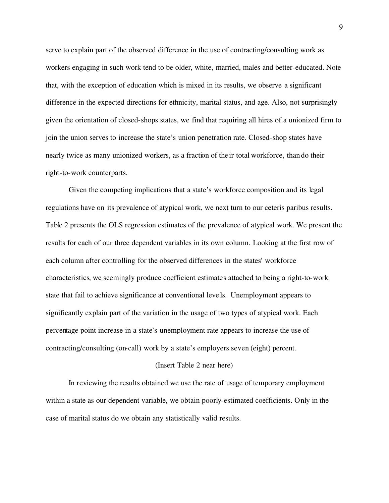serve to explain part of the observed difference in the use of contracting/consulting work as workers engaging in such work tend to be older, white, married, males and better-educated. Note that, with the exception of education which is mixed in its results, we observe a significant difference in the expected directions for ethnicity, marital status, and age. Also, not surprisingly given the orientation of closed-shops states, we find that requiring all hires of a unionized firm to join the union serves to increase the state's union penetration rate. Closed-shop states have nearly twice as many unionized workers, as a fraction of the ir total workforce, than do their right-to-work counterparts.

Given the competing implications that a state's workforce composition and its legal regulations have on its prevalence of atypical work, we next turn to our ceteris paribus results. Table 2 presents the OLS regression estimates of the prevalence of atypical work. We present the results for each of our three dependent variables in its own column. Looking at the first row of each column after controlling for the observed differences in the states' workforce characteristics, we seemingly produce coefficient estimates attached to being a right-to-work state that fail to achieve significance at conventional leve ls. Unemployment appears to significantly explain part of the variation in the usage of two types of atypical work. Each percentage point increase in a state's unemployment rate appears to increase the use of contracting/consulting (on-call) work by a state's employers seven (eight) percent.

#### (Insert Table 2 near here)

In reviewing the results obtained we use the rate of usage of temporary employment within a state as our dependent variable, we obtain poorly-estimated coefficients. Only in the case of marital status do we obtain any statistically valid results.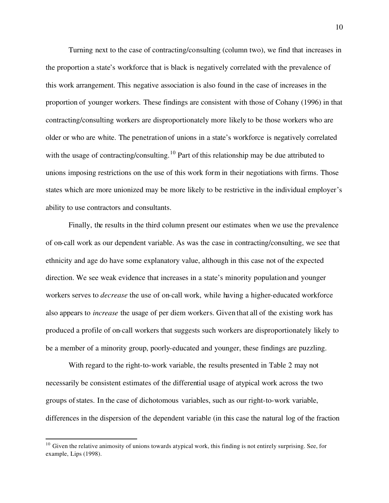Turning next to the case of contracting/consulting (column two), we find that increases in the proportion a state's workforce that is black is negatively correlated with the prevalence of this work arrangement. This negative association is also found in the case of increases in the proportion of younger workers. These findings are consistent with those of Cohany (1996) in that contracting/consulting workers are disproportionately more likely to be those workers who are older or who are white. The penetration of unions in a state's workforce is negatively correlated with the usage of contracting/consulting.<sup>10</sup> Part of this relationship may be due attributed to unions imposing restrictions on the use of this work form in their negotiations with firms. Those states which are more unionized may be more likely to be restrictive in the individual employer's ability to use contractors and consultants.

Finally, the results in the third column present our estimates when we use the prevalence of on-call work as our dependent variable. As was the case in contracting/consulting, we see that ethnicity and age do have some explanatory value, although in this case not of the expected direction. We see weak evidence that increases in a state's minority population and younger workers serves to *decrease* the use of on-call work, while having a higher-educated workforce also appears to *increase* the usage of per diem workers. Given that all of the existing work has produced a profile of on-call workers that suggests such workers are disproportionately likely to be a member of a minority group, poorly-educated and younger, these findings are puzzling.

With regard to the right-to-work variable, the results presented in Table 2 may not necessarily be consistent estimates of the differential usage of atypical work across the two groups ofstates. In the case of dichotomous variables, such as our right-to-work variable, differences in the dispersion of the dependent variable (in this case the natural log of the fraction

 $10$  Given the relative animosity of unions towards atypical work, this finding is not entirely surprising. See, for example, Lips (1998).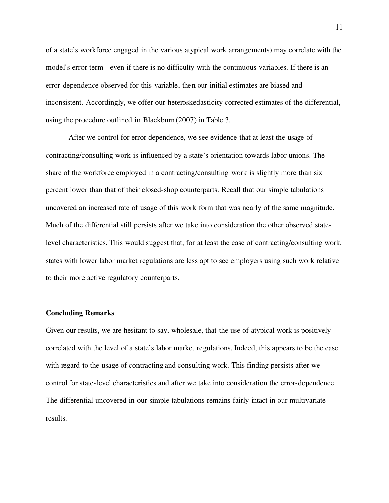of a state's workforce engaged in the various atypical work arrangements) may correlate with the model's error term – even if there is no difficulty with the continuous variables. If there is an error-dependence observed for this variable, then our initial estimates are biased and inconsistent. Accordingly, we offer our heteroskedasticity-corrected estimates of the differential, using the procedure outlined in Blackburn (2007) in Table 3.

After we control for error dependence, we see evidence that at least the usage of contracting/consulting work is influenced by a state's orientation towards labor unions. The share of the workforce employed in a contracting/consulting work is slightly more than six percent lower than that of their closed-shop counterparts. Recall that our simple tabulations uncovered an increased rate of usage of this work form that was nearly of the same magnitude. Much of the differential still persists after we take into consideration the other observed statelevel characteristics. This would suggest that, for at least the case of contracting/consulting work, states with lower labor market regulations are less apt to see employers using such work relative to their more active regulatory counterparts.

#### **Concluding Remarks**

Given our results, we are hesitant to say, wholesale, that the use of atypical work is positively correlated with the level of a state's labor market regulations. Indeed, this appears to be the case with regard to the usage of contracting and consulting work. This finding persists after we control for state-level characteristics and after we take into consideration the error-dependence. The differential uncovered in our simple tabulations remains fairly intact in our multivariate results.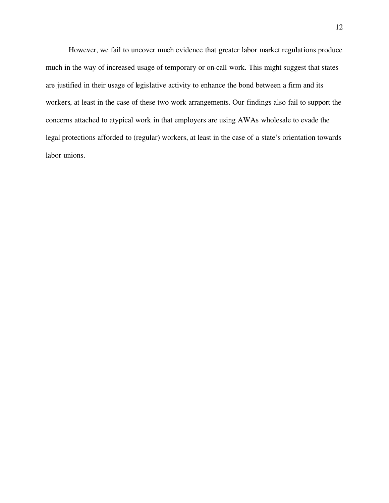However, we fail to uncover much evidence that greater labor market regulations produce much in the way of increased usage of temporary or on-call work. This might suggest that states are justified in their usage of legislative activity to enhance the bond between a firm and its workers, at least in the case of these two work arrangements. Our findings also fail to support the concerns attached to atypical work in that employers are using AWAs wholesale to evade the legal protections afforded to (regular) workers, at least in the case of a state's orientation towards labor unions.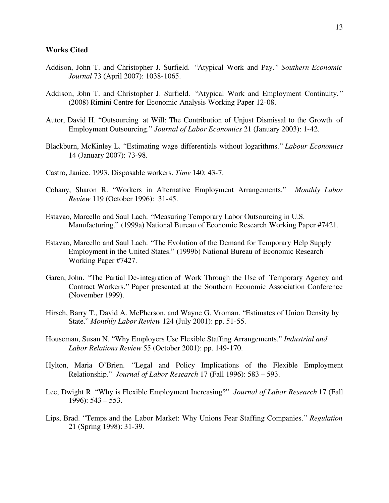#### **Works Cited**

- Addison, John T. and Christopher J. Surfield. "Atypical Work and Pay. " *Southern Economic Journal* 73 (April 2007): 1038-1065.
- Addison, John T. and Christopher J. Surfield. "Atypical Work and Employment Continuity." (2008) Rimini Centre for Economic Analysis Working Paper 12-08.
- Autor, David H. "Outsourcing at Will: The Contribution of Unjust Dismissal to the Growth of Employment Outsourcing." *Journal of Labor Economics* 21 (January 2003): 1-42.
- Blackburn, McKinley L. "Estimating wage differentials without logarithms." *Labour Economics* 14 (January 2007): 73-98.
- Castro, Janice. 1993. Disposable workers. *Time* 140: 43-7.
- Cohany, Sharon R. "Workers in Alternative Employment Arrangements." *Monthly Labor Review* 119 (October 1996): 31-45.
- Estavao, Marcello and Saul Lach. "Measuring Temporary Labor Outsourcing in U.S. Manufacturing." (1999a) National Bureau of Economic Research Working Paper #7421.
- Estavao, Marcello and Saul Lach. "The Evolution of the Demand for Temporary Help Supply Employment in the United States." (1999b) National Bureau of Economic Research Working Paper #7427.
- Garen, John. "The Partial De-integration of Work Through the Use of Temporary Agency and Contract Workers." Paper presented at the Southern Economic Association Conference (November 1999).
- Hirsch, Barry T., David A. McPherson, and Wayne G. Vroman. "Estimates of Union Density by State." *Monthly Labor Review* 124 (July 2001): pp. 51-55.
- Houseman, Susan N. "Why Employers Use Flexible Staffing Arrangements." *Industrial and Labor Relations Review* 55 (October 2001): pp. 149-170.
- Hylton, Maria O'Brien. "Legal and Policy Implications of the Flexible Employment Relationship." *Journal of Labor Research* 17 (Fall 1996): 583 – 593.
- Lee, Dwight R. "Why is Flexible Employment Increasing?" *Journal of Labor Research* 17 (Fall 1996): 543 – 553.
- Lips, Brad. "Temps and the Labor Market: Why Unions Fear Staffing Companies." *Regulation* 21 (Spring 1998): 31-39.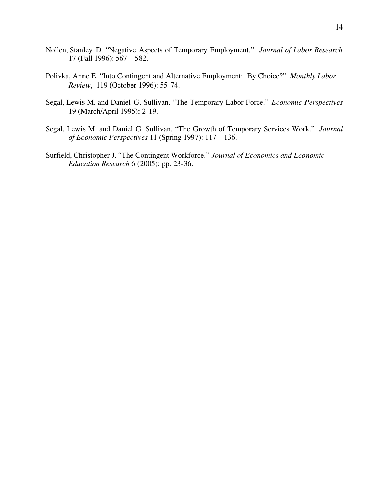- Nollen, Stanley D. "Negative Aspects of Temporary Employment." *Journal of Labor Research* 17 (Fall 1996): 567 – 582.
- Polivka, Anne E. "Into Contingent and Alternative Employment: By Choice?" *Monthly Labor Review*, 119 (October 1996): 55-74.
- Segal, Lewis M. and Daniel G. Sullivan. "The Temporary Labor Force." *Economic Perspectives* 19 (March/April 1995): 2-19.
- Segal, Lewis M. and Daniel G. Sullivan. "The Growth of Temporary Services Work." *Journal of Economic Perspectives* 11 (Spring 1997): 117 – 136.
- Surfield, Christopher J. "The Contingent Workforce." *Journal of Economics and Economic Education Research* 6 (2005): pp. 23-36.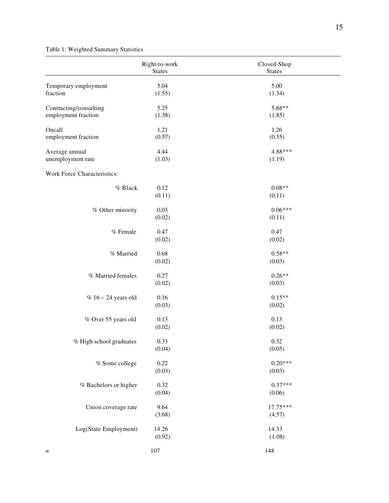## Table 1: Weighted Summary Statistics

|                                               | Right-to-work<br><b>States</b> | Closed-Shop<br><b>States</b> |
|-----------------------------------------------|--------------------------------|------------------------------|
| Temporary employment<br>fraction              | 5.04<br>(1.55)                 | 5.00<br>(1.34)               |
| Contracting/consulting<br>employment fraction | 5.25<br>(1.38)                 | 5.68**<br>(1.85)             |
| Oncall<br>employment fraction                 | 1.21<br>(0.57)                 | 1.26<br>(0.55)               |
| Average annual<br>unemployment rate           | 4.44<br>(1.03)                 | 4.88***<br>(1.19)            |
| Work Force Characteristics:                   |                                |                              |
| % Black                                       | 0.12<br>(0.11)                 | $0.08**$<br>(0.11)           |
| % Other minority                              | 0.03<br>(0.02)                 | $0.06***$<br>(0.11)          |
| % Female                                      | 0.47<br>(0.02)                 | 0.47<br>(0.02)               |
| % Married                                     | 0.68<br>(0.02)                 | $0.58**$<br>(0.03)           |
| % Married females                             | 0.27<br>(0.02)                 | $0.26**$<br>(0.03)           |
| $% 16 - 24$ years old                         | 0.16<br>(0.03)                 | $0.15**$<br>(0.02)           |
| % Over 55 years old                           | 0.13<br>(0.02)                 | 0.13<br>(0.02)               |
| % High school graduates                       | 0.33<br>(0.04)                 | 0.32<br>(0.05)               |
| % Some college                                | $0.22\,$<br>(0.03)             | $0.20***$<br>(0.03)          |
| % Bachelors or higher                         | 0.32<br>(0.04)                 | $0.37***$<br>(0.06)          |
| Union coverage rate                           | 9.64<br>(3.68)                 | 17.75***<br>(4.57)           |
| Log(State Employment)                         | 14.26<br>(0.92)                | 14.33<br>(1.08)              |
| $\boldsymbol{n}$                              | $107\,$                        | 148                          |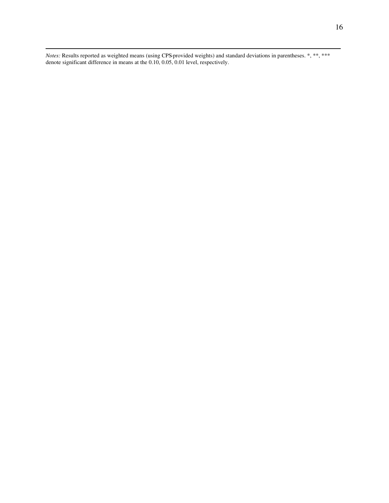*Notes:* Results reported as weighted means (using CPS-provided weights) and standard deviations in parentheses. \*, \*\*, \*\*\* denote significant difference in means at the 0.10, 0.05, 0.01 level, respectively.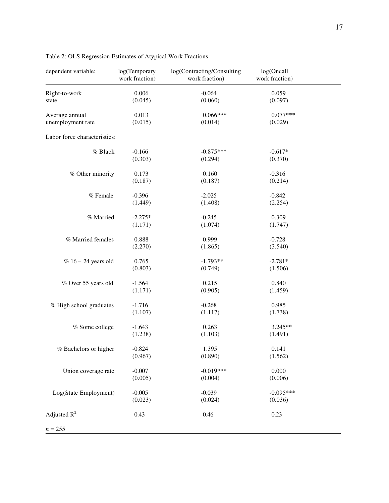| dependent variable:                 | log(Temporary<br>work fraction) | log(Contracting/Consulting<br>work fraction) | log(Oncall<br>work fraction) |  |
|-------------------------------------|---------------------------------|----------------------------------------------|------------------------------|--|
| Right-to-work<br>state              | 0.006<br>(0.045)                | $-0.064$<br>(0.060)                          | 0.059<br>(0.097)             |  |
| Average annual<br>unemployment rate | 0.013<br>(0.015)                | $0.066***$<br>(0.014)                        | $0.077***$<br>(0.029)        |  |
| Labor force characteristics:        |                                 |                                              |                              |  |
| % Black                             | $-0.166$<br>(0.303)             | $-0.875***$<br>(0.294)                       | $-0.617*$<br>(0.370)         |  |
| % Other minority                    | 0.173<br>(0.187)                | 0.160<br>(0.187)                             | $-0.316$<br>(0.214)          |  |
| % Female                            | $-0.396$<br>(1.449)             | $-2.025$<br>(1.408)                          | $-0.842$<br>(2.254)          |  |
| % Married                           | $-2.275*$<br>(1.171)            | $-0.245$<br>(1.074)                          | 0.309<br>(1.747)             |  |
| % Married females                   | 0.888<br>(2.270)                | 0.999<br>(1.865)                             | $-0.728$<br>(3.540)          |  |
| $% 16 - 24$ years old               | 0.765<br>(0.803)                | $-1.793**$<br>(0.749)                        | $-2.781*$<br>(1.506)         |  |
| % Over 55 years old                 | $-1.564$<br>(1.171)             | 0.215<br>(0.905)                             | 0.840<br>(1.459)             |  |
| % High school graduates             | $-1.716$<br>(1.107)             | $-0.268$<br>(1.117)                          | 0.985<br>(1.738)             |  |
| % Some college                      | $-1.643$<br>(1.238)             | 0.263<br>(1.103)                             | 3.245**<br>(1.491)           |  |
| % Bachelors or higher               | $-0.824$<br>(0.967)             | 1.395<br>(0.890)                             | 0.141<br>(1.562)             |  |
| Union coverage rate                 | $-0.007$<br>(0.005)             | $-0.019***$<br>(0.004)                       | 0.000<br>(0.006)             |  |
| Log(State Employment)               | $-0.005$<br>(0.023)             | $-0.039$<br>(0.024)                          | $-0.095***$<br>(0.036)       |  |
| Adjusted $R^2$                      | 0.43                            | 0.46                                         | 0.23                         |  |
| $n = 255$                           |                                 |                                              |                              |  |

Table 2: OLS Regression Estimates of Atypical Work Fractions